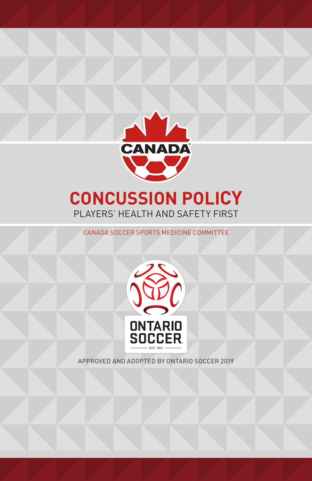

# **CONCUSSION POLICY** PLAYERS' HEALTH AND SAFETY FIRST

CANADA SOCCER SPORTS MEDICINE COMMITTEE



APPROVED AND ADOPTED BY ONTARIO SOCCER 2019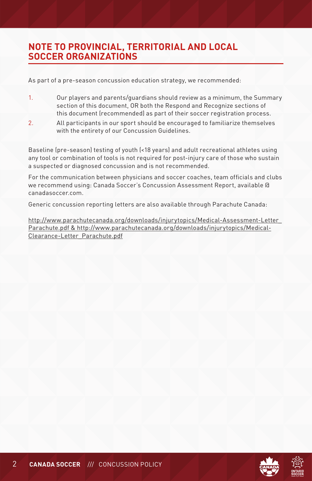# **NOTE TO PROVINCIAL, TERRITORIAL AND LOCAL SOCCER ORGANIZATIONS**

As part of a pre-season concussion education strategy, we recommended:

- 1. Our players and parents/guardians should review as a minimum, the Summary section of this document, OR both the Respond and Recognize sections of this document (recommended) as part of their soccer registration process.
- 2. All participants in our sport should be encouraged to familiarize themselves with the entirety of our Concussion Guidelines.

Baseline (pre-season) testing of youth (<18 years) and adult recreational athletes using any tool or combination of tools is not required for post-injury care of those who sustain a suspected or diagnosed concussion and is not recommended.

For the communication between physicians and soccer coaches, team officials and clubs we recommend using: Canada Soccer's Concussion Assessment Report, available @ canadasoccer.com.

Generic concussion reporting letters are also available through Parachute Canada:

http://www.parachutecanada.org/downloads/injurytopics/Medical-Assessment-Letter\_ Parachute.pdf & http://www.parachutecanada.org/downloads/injurytopics/Medical-Clearance-Letter\_Parachute.pdf





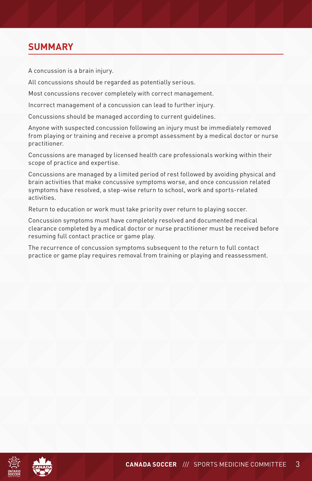# **SUMMARY**

A concussion is a brain injury.

All concussions should be regarded as potentially serious.

Most concussions recover completely with correct management.

Incorrect management of a concussion can lead to further injury.

Concussions should be managed according to current guidelines.

Anyone with suspected concussion following an injury must be immediately removed from playing or training and receive a prompt assessment by a medical doctor or nurse practitioner.

Concussions are managed by licensed health care professionals working within their scope of practice and expertise.

Concussions are managed by a limited period of rest followed by avoiding physical and brain activities that make concussive symptoms worse, and once concussion related symptoms have resolved, a step-wise return to school, work and sports-related activities.

Return to education or work must take priority over return to playing soccer.

Concussion symptoms must have completely resolved and documented medical clearance completed by a medical doctor or nurse practitioner must be received before resuming full contact practice or game play.

The recurrence of concussion symptoms subsequent to the return to full contact practice or game play requires removal from training or playing and reassessment.



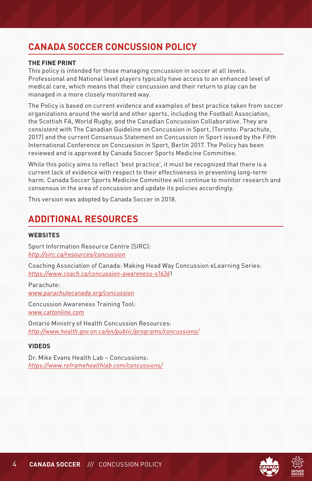# **CANADA SOCCER CONCUSSION POLICY**

### **THE FINE PRINT**

This policy is intended for those managing concussion in soccer at all levels. Professional and National level players typically have access to an enhanced level of medical care, which means that their concussion and their return to play can be managed in a more closely monitored way.

The Policy is based on current evidence and examples of best practice taken from soccer organizations around the world and other sports, including the Football Association, the Scottish FA, World Rugby, and the Canadian Concussion Collaborative. They are consistent with The Canadian Guideline on Concussion in Sport, (Toronto: Parachute, 2017) and the current Consensus Statement on Concussion in Sport issued by the Fifth International Conference on Concussion in Sport, Berlin 2017. The Policy has been reviewed and is approved by Canada Soccer Sports Medicine Committee.

While this policy aims to reflect 'best practice', it must be recognized that there is a current lack of evidence with respect to their effectiveness in preventing long-term harm. Canada Soccer Sports Medicine Committee will continue to monitor research and consensus in the area of concussion and update its policies accordingly.

This version was adopted by Canada Soccer in 2018.

# **ADDITIONAL RESOURCES**

# **WEBSITES**

Sport Information Resource Centre (SIRC): *http://sirc.ca/resources/concussion*

Coaching Association of Canada: Making Head Way Concussion eLearning Series: *https://www.coach.ca/concussion-awareness-s1636*1

Parachute: *www.parachutecanada.org/concussion*

Concussion Awareness Training Tool: *www.cattonline.com*

Ontario Ministry of Health Concussion Resources: *http://www.health.gov.on.ca/en/public/programs/concussions/*

## **VIDEOS**

Dr. Mike Evans Health Lab – Concussions: *https://www.reframehealthlab.com/concussions/*

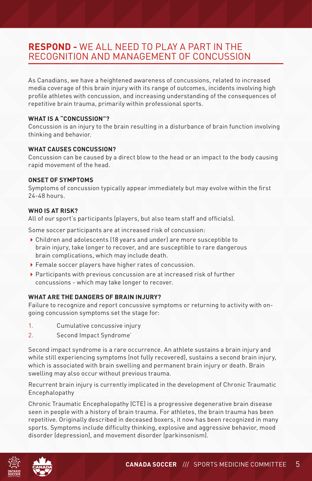# **RESPOND -** WE ALL NEED TO PLAY A PART IN THE RECOGNITION AND MANAGEMENT OF CONCUSSION

As Canadians, we have a heightened awareness of concussions, related to increased media coverage of this brain injury with its range of outcomes, incidents involving high profile athletes with concussion, and increasing understanding of the consequences of repetitive brain trauma, primarily within professional sports.

# **WHAT IS A "CONCUSSION"?**

Concussion is an injury to the brain resulting in a disturbance of brain function involving thinking and behavior.

# **WHAT CAUSES CONCUSSION?**

Concussion can be caused by a direct blow to the head or an impact to the body causing rapid movement of the head.

# **ONSET OF SYMPTOMS**

Symptoms of concussion typically appear immediately but may evolve within the first 24-48 hours.

# **WHO IS AT RISK?**

All of our sport's participants (players, but also team staff and officials).

Some soccer participants are at increased risk of concussion:

- Children and adolescents (18 years and under) are more susceptible to brain injury, take longer to recover, and are susceptible to rare dangerous brain complications, which may include death.
- Female soccer players have higher rates of concussion.
- Participants with previous concussion are at increased risk of further concussions - which may take longer to recover.

# **WHAT ARE THE DANGERS OF BRAIN INJURY?**

Failure to recognize and report concussive symptoms or returning to activity with ongoing concussion symptoms set the stage for:

- 1. Cumulative concussive injury
- 2. Second Impact Syndrome'

Second impact syndrome is a rare occurrence. An athlete sustains a brain injury and while still experiencing symptoms (not fully recovered), sustains a second brain injury, which is associated with brain swelling and permanent brain injury or death. Brain swelling may also occur without previous trauma.

Recurrent brain injury is currently implicated in the development of Chronic Traumatic Encephalopathy

Chronic Traumatic Encephalopathy (CTE) is a progressive degenerative brain disease seen in people with a history of brain trauma. For athletes, the brain trauma has been repetitive. Originally described in deceased boxers, it now has been recognized in many sports. Symptoms include difficulty thinking, explosive and aggressive behavior, mood disorder (depression), and movement disorder (parkinsonism).



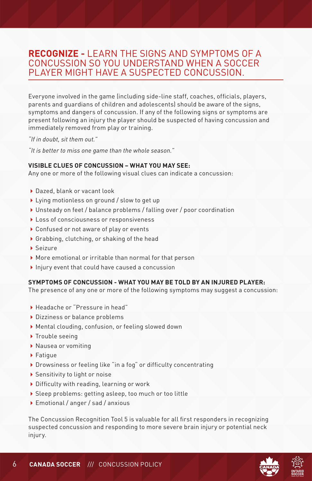# **RECOGNIZE -** LEARN THE SIGNS AND SYMPTOMS OF A CONCUSSION SO YOU UNDERSTAND WHEN A SOCCER PLAYER MIGHT HAVE A SUSPECTED CONCUSSION.

Everyone involved in the game (including side-line staff, coaches, officials, players, parents and guardians of children and adolescents) should be aware of the signs, symptoms and dangers of concussion. If any of the following signs or symptoms are present following an injury the player should be suspected of having concussion and immediately removed from play or training.

*"If in doubt, sit them out."*

*"It is better to miss one game than the whole season."*

### **VISIBLE CLUES OF CONCUSSION – WHAT YOU MAY SEE:**

Any one or more of the following visual clues can indicate a concussion:

- Dazed, blank or vacant look
- ▶ Lying motionless on ground / slow to get up
- Unsteady on feet / balance problems / falling over / poor coordination
- ▶ Loss of consciousness or responsiveness
- ▶ Confused or not aware of play or events
- Grabbing, clutching, or shaking of the head
- Seizure
- More emotional or irritable than normal for that person
- $\blacktriangleright$  Injury event that could have caused a concussion

## **SYMPTOMS OF CONCUSSION - WHAT YOU MAY BE TOLD BY AN INJURED PLAYER:**

The presence of any one or more of the following symptoms may suggest a concussion:

- Headache or "Pressure in head"
- ▶ Dizziness or balance problems
- Mental clouding, confusion, or feeling slowed down
- ▶ Trouble seeing
- Nausea or vomiting
- ▶ Fatique
- Drowsiness or feeling like "in a fog" or difficulty concentrating
- ▶ Sensitivity to light or noise
- Difficulty with reading, learning or work
- Sleep problems: getting asleep, too much or too little
- Emotional / anger / sad / anxious

The Concussion Recognition Tool 5 is valuable for all first responders in recognizing suspected concussion and responding to more severe brain injury or potential neck injury.

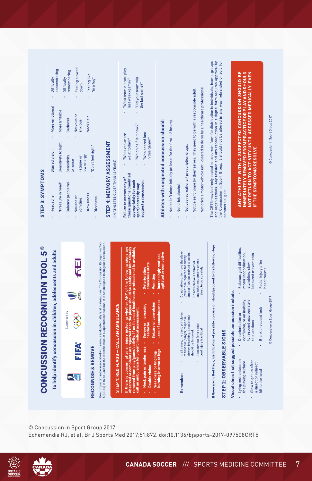



© Concussion in Sport Group 2017 Echemendia RJ, et al. Br J Sports Med 2017;51:872. doi:10.1136/bjsports-2017-097508CRT5

# **CONCUSSION RECOGNITION TOOL 5<sup>®</sup>**

To help identify concussion in children, adolescents and adults



**AI** 

# RECOGNISE & REMOVE

Head impacts can be associated with serious and potentially fatal brain injuries. The Concussion Recognition Tool<br>5 (CRT5) is to be used for the identification of suspected concussion. It is not designed to diagnose concus

# STEP 1: RED FLAGS - CALL AN AMBULANCE

If there is concern after an injury including whether ANY of the following signs are<br>composed from paying and the state of the state of the state of the state of the state of the composed of the<br>composed from play/game/act call an ambulance for urgent medical assessment:

- Neck pain or tenderness - Severe or increasing<br>- nouble vision

Deteriorating<br>conscious state

- · Seizure or convulsion Double vision
- Increasingly restless,<br>agitated or combative · Vomiting
- Do not attempt to move the player<br>(other than required for airway<br>support) unless trained to so do. In all cases, the basic principles<br>of first aid (danger, response,<br>airway, breathing, circulation) Assessment for a spinal<br>cord injury is critical. should be followed. Remember:
	- any other equipment unless Do not remove a helmet or trained to do so safely.

f there are no Red Flags, identification of possible concussion should proceed to the following steps:

# STEP 2: OBSERVABLE SIGNS

- Balance, gait difficulties, motor incoordination, laboured movements stumbling, slow Ţ Visual clues that suggest possible concussion include: confusion, or an inability to respond appropriately Disorientation or to questions Lying motionless on the playing surface Slow to get up after a direct or indirect hit to the head
	- Facial injury after head trauma l, Blank or vacant look

© Concussion in Sport Group 2017

# STEP 3: SYMPTOMS

| ٠ | Headache                | <b>Blurred</b> vision | More emotional | Difficulty                |
|---|-------------------------|-----------------------|----------------|---------------------------|
|   | "Pressure in head"      | Sensitivity to light  | More Irritable | concentrating             |
| ٠ | <b>Balance problems</b> | Sensitivity           | Sadness        | remembering<br>Difficulty |
|   | Nausea or               | to noise              | Nervous or     | Feeling slowed            |
|   | vomiting                | Fatigue or            | anxious        | down                      |
|   | <b>Drowsiness</b>       | low energy            | Neck Pain      | Feeling like              |
|   | <b>Nizzingco</b>        | "Don't feel right"    |                | "in a fog"                |

# STEP 4: MEMORY ASSESSMENT

(IN ATHLETES OLDER THAN 12 YEARS)

| "What team did you play<br>ast week/game?"          | "Did your team win<br>"Which half is it now?" | the last game?"                    |
|-----------------------------------------------------|-----------------------------------------------|------------------------------------|
| "What venue are<br>we at today?"                    |                                               | "Who scored last<br>in this name?" |
| hese questions (modified<br>ailure to answer any of | ppropriately for each<br>port) correctly may  | uggest a concussion:               |

# Athletes with suspected concussion should:

- Not be left alone initially (at least for the first 1-2 hours).
- Not drink alcohol.
- Not use recreational/ prescription drugs.
- Not be sent home by themselves. They need to be with a responsible adult.
- Not drive a motor vehicle until cleared to do so by a healthcare professional.

The CRT5 may be freely copied in its current form for distribution to individuals, teams, groups<br>the Concussion in s. Any reform is the state of the first profession of the concept of the Concussion in S. A<br>the Concussion commercial gain.

ANY ATHLETE WITH A SUSPECTED CONCUSSION SHOULD BE<br>IMMEDIATELY REMOVED FROM PRACTICE OR PLAY AND SHOULD<br>NOT RETURN TO ACTIVITY UNTIL ASSESSED MEDICALLY, EVEN IF THE SYMPTOMS RESOLVE

© Concussion in Sport Group 2017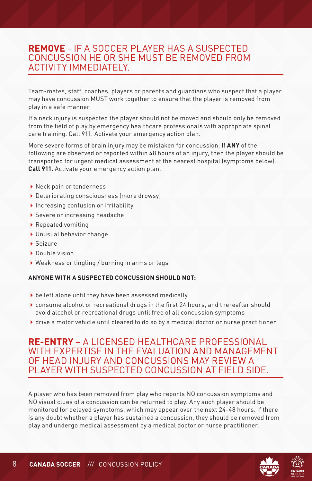# **REMOVE** - IF A SOCCER PLAYER HAS A SUSPECTED CONCUSSION HE OR SHE MUST BE REMOVED FROM ACTIVITY IMMEDIATELY.

Team-mates, staff, coaches, players or parents and guardians who suspect that a player may have concussion MUST work together to ensure that the player is removed from play in a safe manner.

If a neck injury is suspected the player should not be moved and should only be removed from the field of play by emergency healthcare professionals with appropriate spinal care training. Call 911. Activate your emergency action plan.

More severe forms of brain injury may be mistaken for concussion. If **ANY** of the following are observed or reported within 48 hours of an injury, then the player should be transported for urgent medical assessment at the nearest hospital (symptoms below). **Call 911.** Activate your emergency action plan.

- ▶ Neck pain or tenderness
- Deteriorating consciousness (more drowsy)
- $\blacktriangleright$  Increasing confusion or irritability
- Severe or increasing headache
- ▶ Repeated vomiting
- Unusual behavior change
- Seizure
- Double vision
- Weakness or tingling / burning in arms or legs

# **ANYONE WITH A SUSPECTED CONCUSSION SHOULD NOT:**

- be left alone until they have been assessed medically
- consume alcohol or recreational drugs in the first 24 hours, and thereafter should avoid alcohol or recreational drugs until free of all concussion symptoms
- drive a motor vehicle until cleared to do so by a medical doctor or nurse practitioner

# **RE-ENTRY** – A LICENSED HEALTHCARE PROFESSIONAL WITH EXPERTISE IN THE EVALUATION AND MANAGEMENT OF HEAD INJURY AND CONCUSSIONS MAY REVIEW A PLAYER WITH SUSPECTED CONCUSSION AT FIELD SIDE.

A player who has been removed from play who reports NO concussion symptoms and NO visual clues of a concussion can be returned to play. Any such player should be monitored for delayed symptoms, which may appear over the next 24-48 hours. If there is any doubt whether a player has sustained a concussion, they should be removed from play and undergo medical assessment by a medical doctor or nurse practitioner.





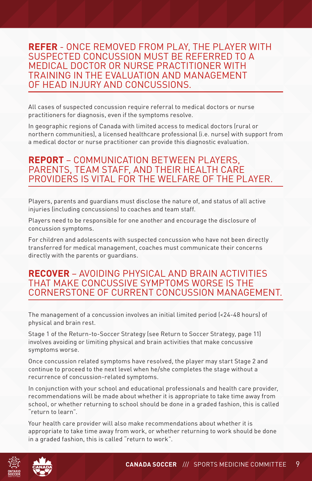# **REFER** - ONCE REMOVED FROM PLAY, THE PLAYER WITH SUSPECTED CONCUSSION MUST BE REFERRED TO A MEDICAL DOCTOR OR NURSE PRACTITIONER WITH TRAINING IN THE EVALUATION AND MANAGEMENT OF HEAD INJURY AND CONCUSSIONS.

All cases of suspected concussion require referral to medical doctors or nurse practitioners for diagnosis, even if the symptoms resolve.

In geographic regions of Canada with limited access to medical doctors (rural or northern communities), a licensed healthcare professional (i.e. nurse) with support from a medical doctor or nurse practitioner can provide this diagnostic evaluation.

# **REPORT** – COMMUNICATION BETWEEN PLAYERS, PARENTS, TEAM STAFF, AND THEIR HEALTH CARE PROVIDERS IS VITAL FOR THE WELFARE OF THE PLAYER.

Players, parents and guardians must disclose the nature of, and status of all active injuries (including concussions) to coaches and team staff.

Players need to be responsible for one another and encourage the disclosure of concussion symptoms.

For children and adolescents with suspected concussion who have not been directly transferred for medical management, coaches must communicate their concerns directly with the parents or guardians.

# **RECOVER** – AVOIDING PHYSICAL AND BRAIN ACTIVITIES THAT MAKE CONCUSSIVE SYMPTOMS WORSE IS THE CORNERSTONE OF CURRENT CONCUSSION MANAGEMENT.

The management of a concussion involves an initial limited period (<24-48 hours) of physical and brain rest.

Stage 1 of the Return-to-Soccer Strategy (see Return to Soccer Strategy, page 11) involves avoiding or limiting physical and brain activities that make concussive symptoms worse.

Once concussion related symptoms have resolved, the player may start Stage 2 and continue to proceed to the next level when he/she completes the stage without a recurrence of concussion-related symptoms.

In conjunction with your school and educational professionals and health care provider, recommendations will be made about whether it is appropriate to take time away from school, or whether returning to school should be done in a graded fashion, this is called "return to learn".

Your health care provider will also make recommendations about whether it is appropriate to take time away from work, or whether returning to work should be done in a graded fashion, this is called "return to work".

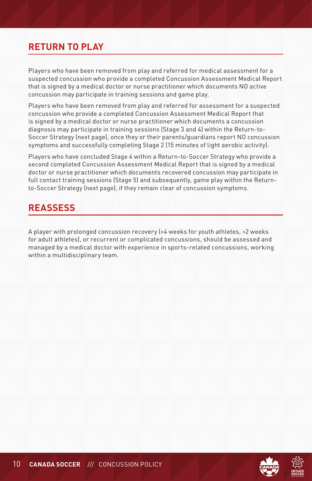# **RETURN TO PLAY**

Players who have been removed from play and referred for medical assessment for a suspected concussion who provide a completed Concussion Assessment Medical Report that is signed by a medical doctor or nurse practitioner which documents NO active concussion may participate in training sessions and game play.

Players who have been removed from play and referred for assessment for a suspected concussion who provide a completed Concussion Assessment Medical Report that is signed by a medical doctor or nurse practitioner which documents a concussion diagnosis may participate in training sessions (Stage 3 and 4) within the Return-to-Soccer Strategy (next page), once they or their parents/guardians report NO concussion symptoms and successfully completing Stage 2 (15 minutes of light aerobic activity).

Players who have concluded Stage 4 within a Return-to-Soccer Strategy who provide a second completed Concussion Assessment Medical Report that is signed by a medical doctor or nurse practitioner which documents recovered concussion may participate in full contact training sessions (Stage 5) and subsequently, game play within the Returnto-Soccer Strategy (next page), if they remain clear of concussion symptoms.

# **REASSESS**

A player with prolonged concussion recovery (>4 weeks for youth athletes, >2 weeks for adult athletes), or recurrent or complicated concussions, should be assessed and managed by a medical doctor with experience in sports-related concussions, working within a multidisciplinary team.